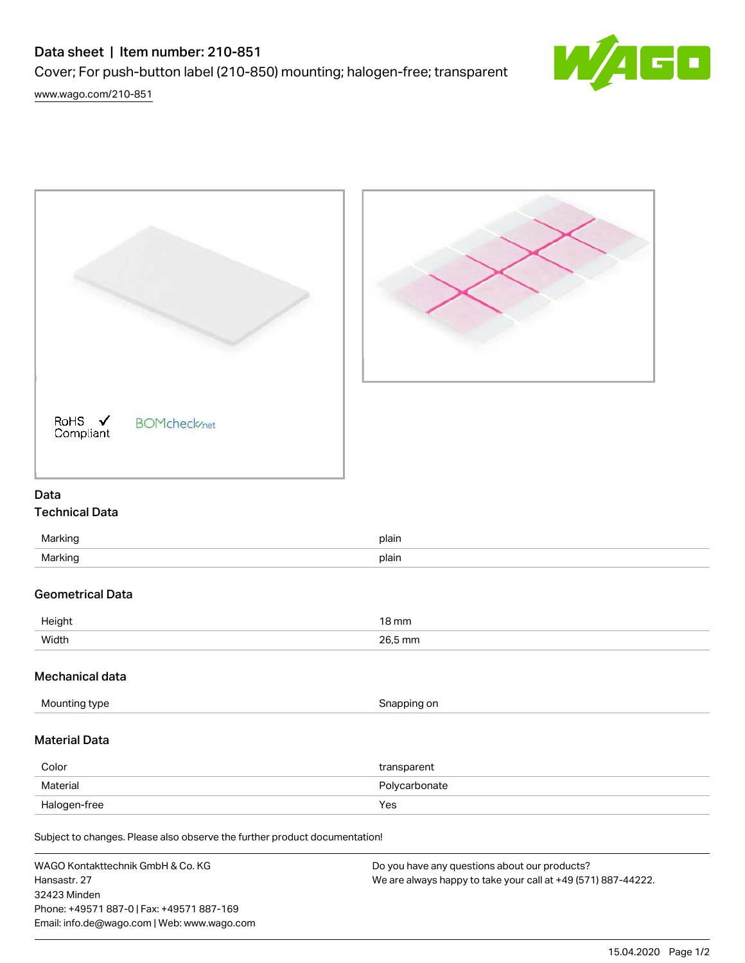## Data sheet | Item number: 210-851

Cover; For push-button label (210-850) mounting; halogen-free; transparent

[www.wago.com/210-851](http://www.wago.com/210-851)







# Data

## Technical Data

| Marking | plain |
|---------|-------|
| Marking | plain |

### Geometrical Data

| Height | $18 \,\mathrm{mm}$ |
|--------|--------------------|
| Width  | 26,5 mm            |

#### Mechanical data

| Mounting type | Snapping on |
|---------------|-------------|
|               |             |

#### Material Data

| Color        | transparent   |
|--------------|---------------|
| Material     | Polycarbonate |
| Halogen-free | Yes           |

Subject to changes. Please also observe the further product documentation!

WAGO Kontakttechnik GmbH & Co. KG Hansastr. 27 32423 Minden Phone: +49571 887-0 | Fax: +49571 887-169 Email: info.de@wago.com | Web: www.wago.com Do you have any questions about our products? We are always happy to take your call at +49 (571) 887-44222.